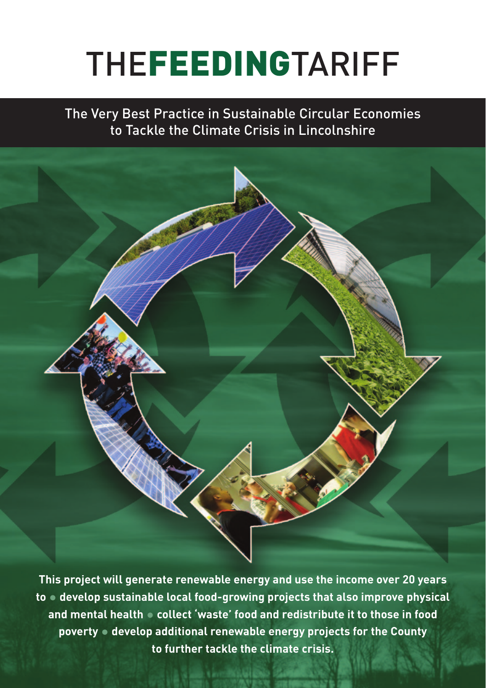# **THEFEEDINGTARIFF**

The Very Best Practice in Sustainable Circular Economies to Tackle the Climate Crisis in Lincolnshire



**This project will generate renewable energy and use the income over 20 years to • develop sustainable local food-growing projects that also improve physical and mental health • collect 'waste' food and redistribute it to those in food poverty • develop additional renewable energy projects for the County to further tackle the climate crisis.**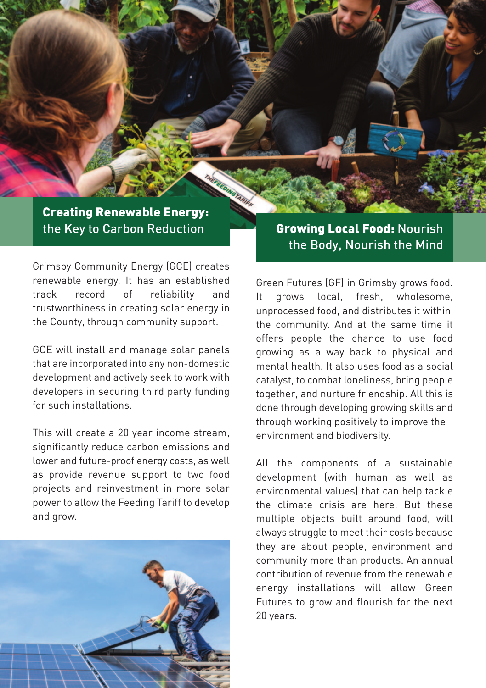Creating Renewable Energy: the Key to Carbon Reduction

Grimsby Community Energy (GCE) creates renewable energy. It has an established track record of reliability and trustworthiness in creating solar energy in the County, through community support.

GCE will install and manage solar panels that are incorporated into any non-domestic development and actively seek to work with developers in securing third party funding for such installations.

This will create a 20 year income stream, significantly reduce carbon emissions and lower and future-proof energy costs, as well as provide revenue support to two food projects and reinvestment in more solar power to allow the Feeding Tariff to develop and grow.



## Growing Local Food: Nourish the Body, Nourish the Mind

Green Futures (GF) in Grimsby grows food. It grows local, fresh, wholesome, unprocessed food, and distributes it within the community. And at the same time it offers people the chance to use food growing as a way back to physical and mental health. It also uses food as a social catalyst, to combat loneliness, bring people together, and nurture friendship. All this is done through developing growing skills and through working positively to improve the environment and biodiversity.

All the components of a sustainable development (with human as well as environmental values) that can help tackle the climate crisis are here. But these multiple objects built around food, will always struggle to meet their costs because they are about people, environment and community more than products. An annual contribution of revenue from the renewable energy installations will allow Green Futures to grow and flourish for the next 20 years.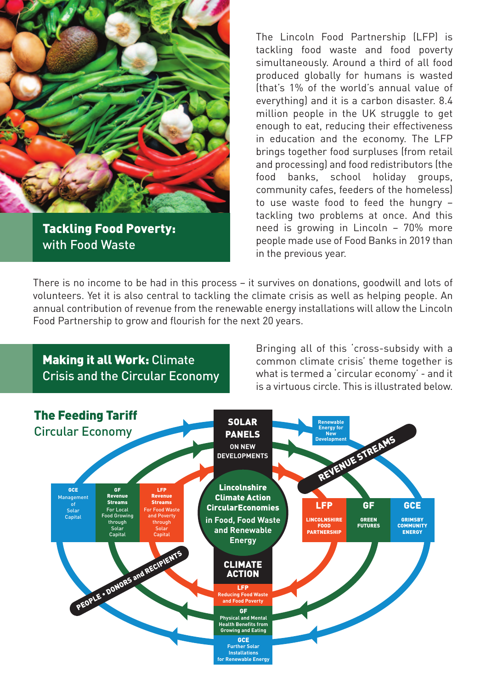

Tackling Food Poverty: with Food Waste

The Lincoln Food Partnership (LFP) is tackling food waste and food poverty simultaneously. Around a third of all food produced globally for humans is wasted (that's 1% of the world's annual value of everything) and it is a carbon disaster. 8.4 million people in the UK struggle to get enough to eat, reducing their effectiveness in education and the economy. The LFP brings together food surpluses (from retail and processing) and food redistributors (the food banks, school holiday groups, community cafes, feeders of the homeless) to use waste food to feed the hungry – tackling two problems at once. And this need is growing in Lincoln – 70% more people made use of Food Banks in 2019 than in the previous year.

Bringing all of this 'cross-subsidy with a

There is no income to be had in this process – it survives on donations, goodwill and lots of volunteers. Yet it is also central to tackling the climate crisis as well as helping people. An annual contribution of revenue from the renewable energy installations will allow the Lincoln Food Partnership to grow and flourish for the next 20 years.

![](_page_2_Figure_4.jpeg)